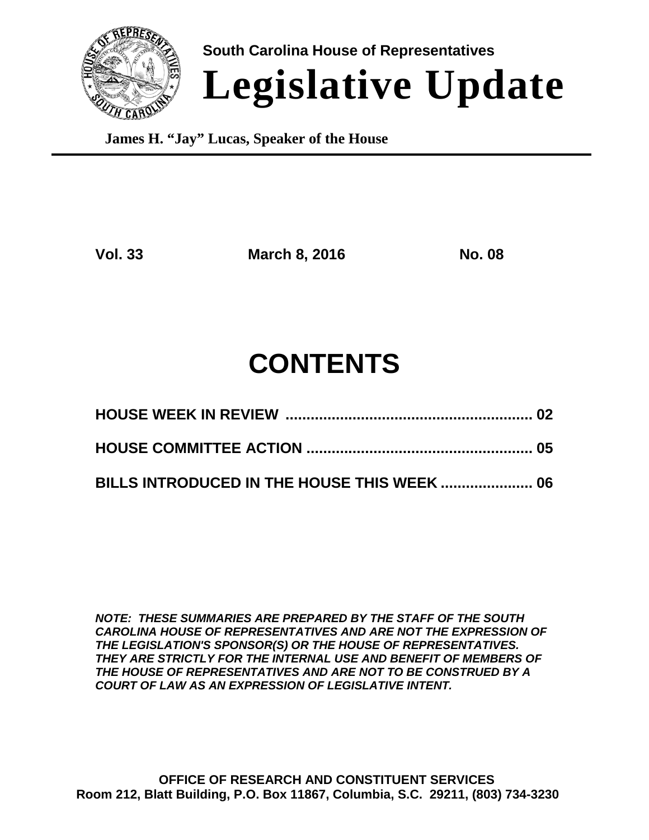

**South Carolina House of Representatives Legislative Update**

**James H. "Jay" Lucas, Speaker of the House**

**Vol. 33 March 8, 2016 No. 08**

# **CONTENTS**

**BILLS INTRODUCED IN THE HOUSE THIS WEEK ...................... 06**

*NOTE: THESE SUMMARIES ARE PREPARED BY THE STAFF OF THE SOUTH CAROLINA HOUSE OF REPRESENTATIVES AND ARE NOT THE EXPRESSION OF THE LEGISLATION'S SPONSOR(S) OR THE HOUSE OF REPRESENTATIVES. THEY ARE STRICTLY FOR THE INTERNAL USE AND BENEFIT OF MEMBERS OF THE HOUSE OF REPRESENTATIVES AND ARE NOT TO BE CONSTRUED BY A COURT OF LAW AS AN EXPRESSION OF LEGISLATIVE INTENT.*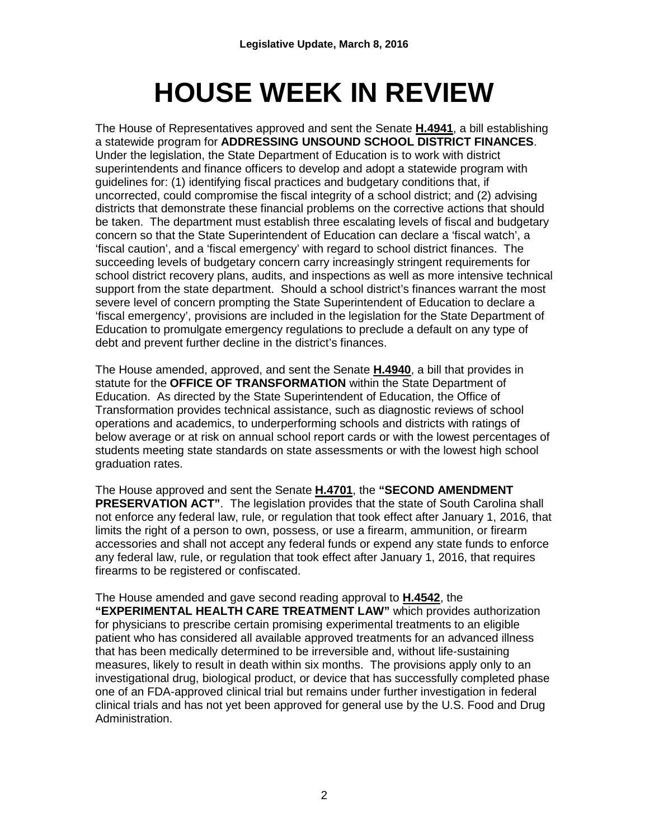# **HOUSE WEEK IN REVIEW**

The House of Representatives approved and sent the Senate **H.4941**, a bill establishing a statewide program for **ADDRESSING UNSOUND SCHOOL DISTRICT FINANCES**. Under the legislation, the State Department of Education is to work with district superintendents and finance officers to develop and adopt a statewide program with guidelines for: (1) identifying fiscal practices and budgetary conditions that, if uncorrected, could compromise the fiscal integrity of a school district; and (2) advising districts that demonstrate these financial problems on the corrective actions that should be taken. The department must establish three escalating levels of fiscal and budgetary concern so that the State Superintendent of Education can declare a 'fiscal watch', a 'fiscal caution', and a 'fiscal emergency' with regard to school district finances. The succeeding levels of budgetary concern carry increasingly stringent requirements for school district recovery plans, audits, and inspections as well as more intensive technical support from the state department. Should a school district's finances warrant the most severe level of concern prompting the State Superintendent of Education to declare a 'fiscal emergency', provisions are included in the legislation for the State Department of Education to promulgate emergency regulations to preclude a default on any type of debt and prevent further decline in the district's finances.

The House amended, approved, and sent the Senate **H.4940**, a bill that provides in statute for the **OFFICE OF TRANSFORMATION** within the State Department of Education. As directed by the State Superintendent of Education, the Office of Transformation provides technical assistance, such as diagnostic reviews of school operations and academics, to underperforming schools and districts with ratings of below average or at risk on annual school report cards or with the lowest percentages of students meeting state standards on state assessments or with the lowest high school graduation rates.

The House approved and sent the Senate **H.4701**, the **"SECOND AMENDMENT PRESERVATION ACT".** The legislation provides that the state of South Carolina shall not enforce any federal law, rule, or regulation that took effect after January 1, 2016, that limits the right of a person to own, possess, or use a firearm, ammunition, or firearm accessories and shall not accept any federal funds or expend any state funds to enforce any federal law, rule, or regulation that took effect after January 1, 2016, that requires firearms to be registered or confiscated.

The House amended and gave second reading approval to **H.4542**, the **"EXPERIMENTAL HEALTH CARE TREATMENT LAW"** which provides authorization for physicians to prescribe certain promising experimental treatments to an eligible patient who has considered all available approved treatments for an advanced illness that has been medically determined to be irreversible and, without life-sustaining measures, likely to result in death within six months. The provisions apply only to an investigational drug, biological product, or device that has successfully completed phase one of an FDA-approved clinical trial but remains under further investigation in federal clinical trials and has not yet been approved for general use by the U.S. Food and Drug Administration.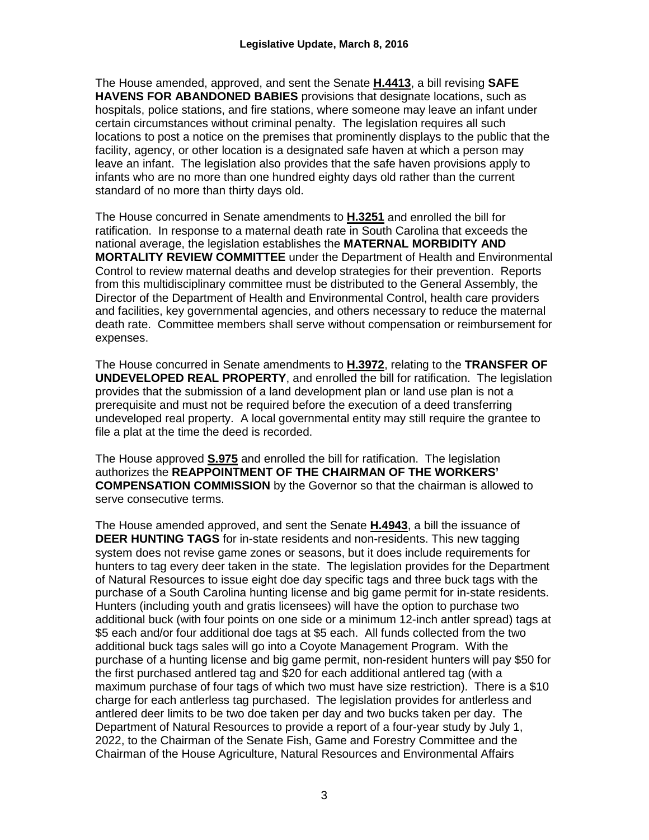The House amended, approved, and sent the Senate **H.4413**, a bill revising **SAFE HAVENS FOR ABANDONED BABIES** provisions that designate locations, such as hospitals, police stations, and fire stations, where someone may leave an infant under certain circumstances without criminal penalty. The legislation requires all such locations to post a notice on the premises that prominently displays to the public that the facility, agency, or other location is a designated safe haven at which a person may leave an infant. The legislation also provides that the safe haven provisions apply to infants who are no more than one hundred eighty days old rather than the current standard of no more than thirty days old.

The House concurred in Senate amendments to **H.3251** and enrolled the bill for ratification. In response to a maternal death rate in South Carolina that exceeds the national average, the legislation establishes the **MATERNAL MORBIDITY AND MORTALITY REVIEW COMMITTEE** under the Department of Health and Environmental Control to review maternal deaths and develop strategies for their prevention. Reports from this multidisciplinary committee must be distributed to the General Assembly, the Director of the Department of Health and Environmental Control, health care providers and facilities, key governmental agencies, and others necessary to reduce the maternal death rate. Committee members shall serve without compensation or reimbursement for expenses.

The House concurred in Senate amendments to **H.3972**, relating to the **TRANSFER OF UNDEVELOPED REAL PROPERTY**, and enrolled the bill for ratification. The legislation provides that the submission of a land development plan or land use plan is not a prerequisite and must not be required before the execution of a deed transferring undeveloped real property. A local governmental entity may still require the grantee to file a plat at the time the deed is recorded.

The House approved **S.975** and enrolled the bill for ratification. The legislation authorizes the **REAPPOINTMENT OF THE CHAIRMAN OF THE WORKERS' COMPENSATION COMMISSION** by the Governor so that the chairman is allowed to serve consecutive terms.

The House amended approved, and sent the Senate **H.4943**, a bill the issuance of **DEER HUNTING TAGS** for in-state residents and non-residents. This new tagging system does not revise game zones or seasons, but it does include requirements for hunters to tag every deer taken in the state. The legislation provides for the Department of Natural Resources to issue eight doe day specific tags and three buck tags with the purchase of a South Carolina hunting license and big game permit for in-state residents. Hunters (including youth and gratis licensees) will have the option to purchase two additional buck (with four points on one side or a minimum 12-inch antler spread) tags at \$5 each and/or four additional doe tags at \$5 each. All funds collected from the two additional buck tags sales will go into a Coyote Management Program. With the purchase of a hunting license and big game permit, non-resident hunters will pay \$50 for the first purchased antlered tag and \$20 for each additional antlered tag (with a maximum purchase of four tags of which two must have size restriction). There is a \$10 charge for each antlerless tag purchased. The legislation provides for antlerless and antlered deer limits to be two doe taken per day and two bucks taken per day. The Department of Natural Resources to provide a report of a four-year study by July 1, 2022, to the Chairman of the Senate Fish, Game and Forestry Committee and the Chairman of the House Agriculture, Natural Resources and Environmental Affairs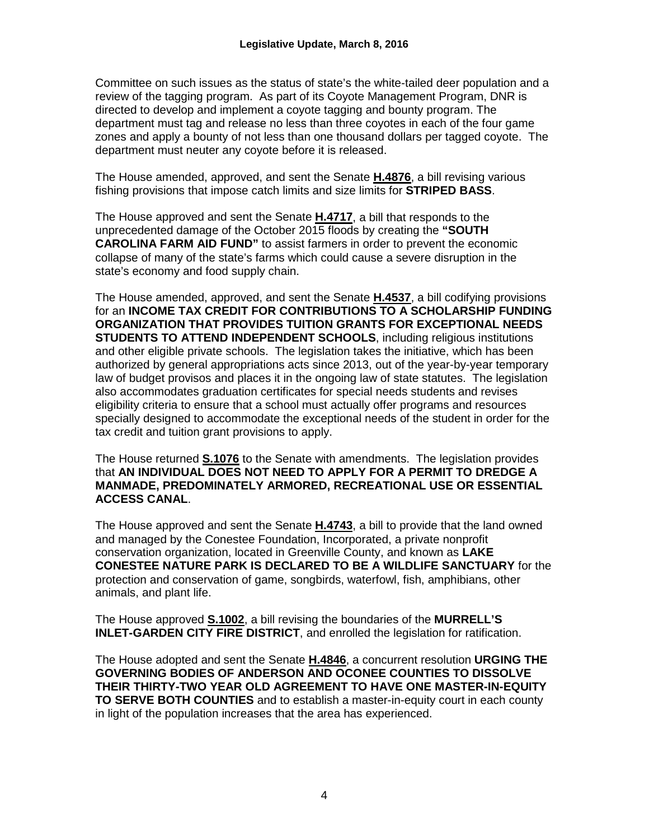Committee on such issues as the status of state's the white-tailed deer population and a review of the tagging program. As part of its Coyote Management Program, DNR is directed to develop and implement a coyote tagging and bounty program. The department must tag and release no less than three coyotes in each of the four game zones and apply a bounty of not less than one thousand dollars per tagged coyote. The department must neuter any coyote before it is released.

The House amended, approved, and sent the Senate **H.4876**, a bill revising various fishing provisions that impose catch limits and size limits for **STRIPED BASS**.

The House approved and sent the Senate **H.4717**, a bill that responds to the unprecedented damage of the October 2015 floods by creating the **"SOUTH CAROLINA FARM AID FUND"** to assist farmers in order to prevent the economic collapse of many of the state's farms which could cause a severe disruption in the state's economy and food supply chain.

The House amended, approved, and sent the Senate **H.4537**, a bill codifying provisions for an **INCOME TAX CREDIT FOR CONTRIBUTIONS TO A SCHOLARSHIP FUNDING ORGANIZATION THAT PROVIDES TUITION GRANTS FOR EXCEPTIONAL NEEDS STUDENTS TO ATTEND INDEPENDENT SCHOOLS**, including religious institutions and other eligible private schools. The legislation takes the initiative, which has been authorized by general appropriations acts since 2013, out of the year-by-year temporary law of budget provisos and places it in the ongoing law of state statutes. The legislation also accommodates graduation certificates for special needs students and revises eligibility criteria to ensure that a school must actually offer programs and resources specially designed to accommodate the exceptional needs of the student in order for the tax credit and tuition grant provisions to apply.

The House returned **S.1076** to the Senate with amendments. The legislation provides that **AN INDIVIDUAL DOES NOT NEED TO APPLY FOR A PERMIT TO DREDGE A MANMADE, PREDOMINATELY ARMORED, RECREATIONAL USE OR ESSENTIAL ACCESS CANAL**.

The House approved and sent the Senate **H.4743**, a bill to provide that the land owned and managed by the Conestee Foundation, Incorporated, a private nonprofit conservation organization, located in Greenville County, and known as **LAKE CONESTEE NATURE PARK IS DECLARED TO BE A WILDLIFE SANCTUARY** for the protection and conservation of game, songbirds, waterfowl, fish, amphibians, other animals, and plant life.

The House approved **S.1002**, a bill revising the boundaries of the **MURRELL'S INLET-GARDEN CITY FIRE DISTRICT**, and enrolled the legislation for ratification.

The House adopted and sent the Senate **H.4846**, a concurrent resolution **URGING THE GOVERNING BODIES OF ANDERSON AND OCONEE COUNTIES TO DISSOLVE THEIR THIRTY-TWO YEAR OLD AGREEMENT TO HAVE ONE MASTER-IN-EQUITY TO SERVE BOTH COUNTIES** and to establish a master-in-equity court in each county in light of the population increases that the area has experienced.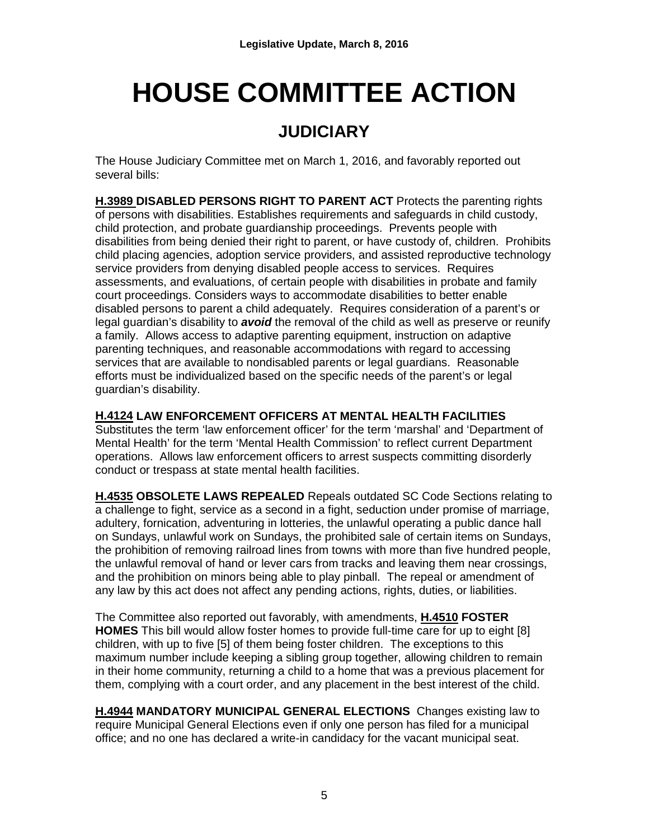## **HOUSE COMMITTEE ACTION**

## **JUDICIARY**

The House Judiciary Committee met on March 1, 2016, and favorably reported out several bills:

**H.3989 DISABLED PERSONS RIGHT TO PARENT ACT** Protects the parenting rights of persons with disabilities. Establishes requirements and safeguards in child custody, child protection, and probate guardianship proceedings. Prevents people with disabilities from being denied their right to parent, or have custody of, children. Prohibits child placing agencies, adoption service providers, and assisted reproductive technology service providers from denying disabled people access to services. Requires assessments, and evaluations, of certain people with disabilities in probate and family court proceedings. Considers ways to accommodate disabilities to better enable disabled persons to parent a child adequately. Requires consideration of a parent's or legal guardian's disability to *avoid* the removal of the child as well as preserve or reunify a family. Allows access to adaptive parenting equipment, instruction on adaptive parenting techniques, and reasonable accommodations with regard to accessing services that are available to nondisabled parents or legal guardians. Reasonable efforts must be individualized based on the specific needs of the parent's or legal guardian's disability.

#### **H.4124 LAW ENFORCEMENT OFFICERS AT MENTAL HEALTH FACILITIES**

Substitutes the term 'law enforcement officer' for the term 'marshal' and 'Department of Mental Health' for the term 'Mental Health Commission' to reflect current Department operations. Allows law enforcement officers to arrest suspects committing disorderly conduct or trespass at state mental health facilities.

**H.4535 OBSOLETE LAWS REPEALED** Repeals outdated SC Code Sections relating to a challenge to fight, service as a second in a fight, seduction under promise of marriage, adultery, fornication, adventuring in lotteries, the unlawful operating a public dance hall on Sundays, unlawful work on Sundays, the prohibited sale of certain items on Sundays, the prohibition of removing railroad lines from towns with more than five hundred people, the unlawful removal of hand or lever cars from tracks and leaving them near crossings, and the prohibition on minors being able to play pinball. The repeal or amendment of any law by this act does not affect any pending actions, rights, duties, or liabilities.

The Committee also reported out favorably, with amendments, **H.4510 FOSTER HOMES** This bill would allow foster homes to provide full-time care for up to eight [8] children, with up to five [5] of them being foster children. The exceptions to this maximum number include keeping a sibling group together, allowing children to remain in their home community, returning a child to a home that was a previous placement for them, complying with a court order, and any placement in the best interest of the child.

**H.4944 MANDATORY MUNICIPAL GENERAL ELECTIONS** Changes existing law to require Municipal General Elections even if only one person has filed for a municipal office; and no one has declared a write-in candidacy for the vacant municipal seat.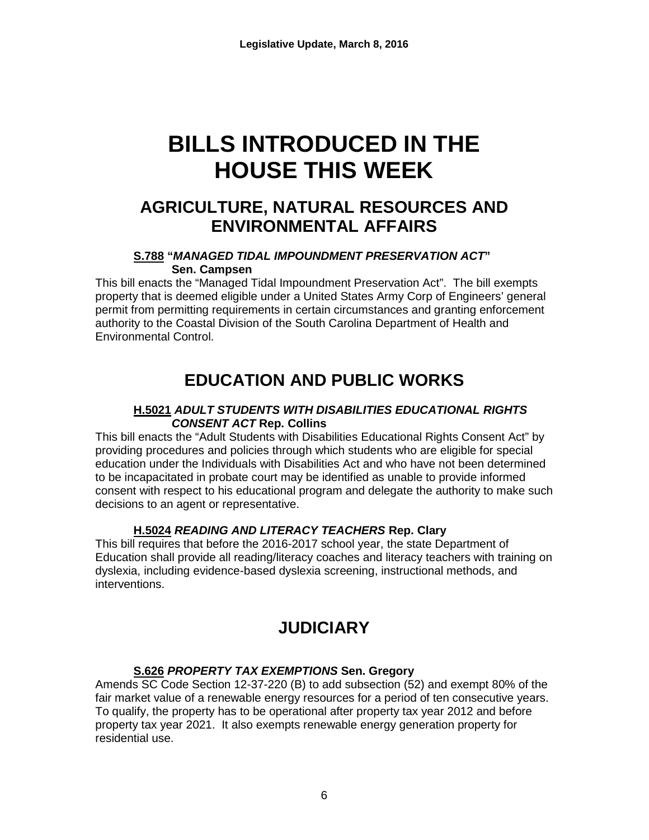## **BILLS INTRODUCED IN THE HOUSE THIS WEEK**

### **AGRICULTURE, NATURAL RESOURCES AND ENVIRONMENTAL AFFAIRS**

#### **S.788 "***MANAGED TIDAL IMPOUNDMENT PRESERVATION ACT***" Sen. Campsen**

This bill enacts the "Managed Tidal Impoundment Preservation Act". The bill exempts property that is deemed eligible under a United States Army Corp of Engineers' general permit from permitting requirements in certain circumstances and granting enforcement authority to the Coastal Division of the South Carolina Department of Health and Environmental Control.

## **EDUCATION AND PUBLIC WORKS**

#### **H.5021** *ADULT STUDENTS WITH DISABILITIES EDUCATIONAL RIGHTS CONSENT ACT* **Rep. Collins**

This bill enacts the "Adult Students with Disabilities Educational Rights Consent Act" by providing procedures and policies through which students who are eligible for special education under the Individuals with Disabilities Act and who have not been determined to be incapacitated in probate court may be identified as unable to provide informed consent with respect to his educational program and delegate the authority to make such decisions to an agent or representative.

#### **H.5024** *READING AND LITERACY TEACHERS* **Rep. Clary**

This bill requires that before the 2016-2017 school year, the state Department of Education shall provide all reading/literacy coaches and literacy teachers with training on dyslexia, including evidence-based dyslexia screening, instructional methods, and interventions.

## **JUDICIARY**

#### **S.626** *PROPERTY TAX EXEMPTIONS* **Sen. Gregory**

Amends SC Code Section 12-37-220 (B) to add subsection (52) and exempt 80% of the fair market value of a renewable energy resources for a period of ten consecutive years. To qualify, the property has to be operational after property tax year 2012 and before property tax year 2021. It also exempts renewable energy generation property for residential use.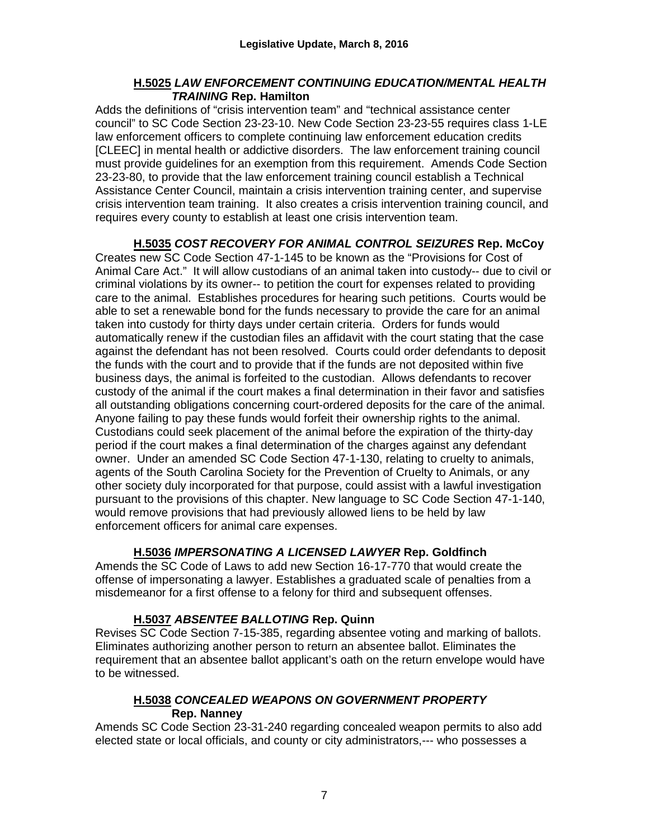#### **H.5025** *LAW ENFORCEMENT CONTINUING EDUCATION/MENTAL HEALTH TRAINING* **Rep. Hamilton**

Adds the definitions of "crisis intervention team" and "technical assistance center council" to SC Code Section 23-23-10. New Code Section 23-23-55 requires class 1-LE law enforcement officers to complete continuing law enforcement education credits [CLEEC] in mental health or addictive disorders. The law enforcement training council must provide guidelines for an exemption from this requirement. Amends Code Section 23-23-80, to provide that the law enforcement training council establish a Technical Assistance Center Council, maintain a crisis intervention training center, and supervise crisis intervention team training. It also creates a crisis intervention training council, and requires every county to establish at least one crisis intervention team.

**H.5035** *COST RECOVERY FOR ANIMAL CONTROL SEIZURES* **Rep. McCoy** Creates new SC Code Section 47-1-145 to be known as the "Provisions for Cost of Animal Care Act." It will allow custodians of an animal taken into custody-- due to civil or criminal violations by its owner-- to petition the court for expenses related to providing care to the animal. Establishes procedures for hearing such petitions. Courts would be able to set a renewable bond for the funds necessary to provide the care for an animal taken into custody for thirty days under certain criteria. Orders for funds would automatically renew if the custodian files an affidavit with the court stating that the case against the defendant has not been resolved. Courts could order defendants to deposit the funds with the court and to provide that if the funds are not deposited within five business days, the animal is forfeited to the custodian. Allows defendants to recover custody of the animal if the court makes a final determination in their favor and satisfies all outstanding obligations concerning court-ordered deposits for the care of the animal. Anyone failing to pay these funds would forfeit their ownership rights to the animal. Custodians could seek placement of the animal before the expiration of the thirty-day period if the court makes a final determination of the charges against any defendant owner. Under an amended SC Code Section 47-1-130, relating to cruelty to animals, agents of the South Carolina Society for the Prevention of Cruelty to Animals, or any other society duly incorporated for that purpose, could assist with a lawful investigation pursuant to the provisions of this chapter. New language to SC Code Section 47-1-140, would remove provisions that had previously allowed liens to be held by law enforcement officers for animal care expenses.

#### **H.5036** *IMPERSONATING A LICENSED LAWYER* **Rep. Goldfinch**

Amends the SC Code of Laws to add new Section 16-17-770 that would create the offense of impersonating a lawyer. Establishes a graduated scale of penalties from a misdemeanor for a first offense to a felony for third and subsequent offenses.

#### **H.5037** *ABSENTEE BALLOTING* **Rep. Quinn**

Revises SC Code Section 7-15-385, regarding absentee voting and marking of ballots. Eliminates authorizing another person to return an absentee ballot. Eliminates the requirement that an absentee ballot applicant's oath on the return envelope would have to be witnessed.

#### **H.5038** *CONCEALED WEAPONS ON GOVERNMENT PROPERTY* **Rep. Nanney**

Amends SC Code Section 23-31-240 regarding concealed weapon permits to also add elected state or local officials, and county or city administrators,--- who possesses a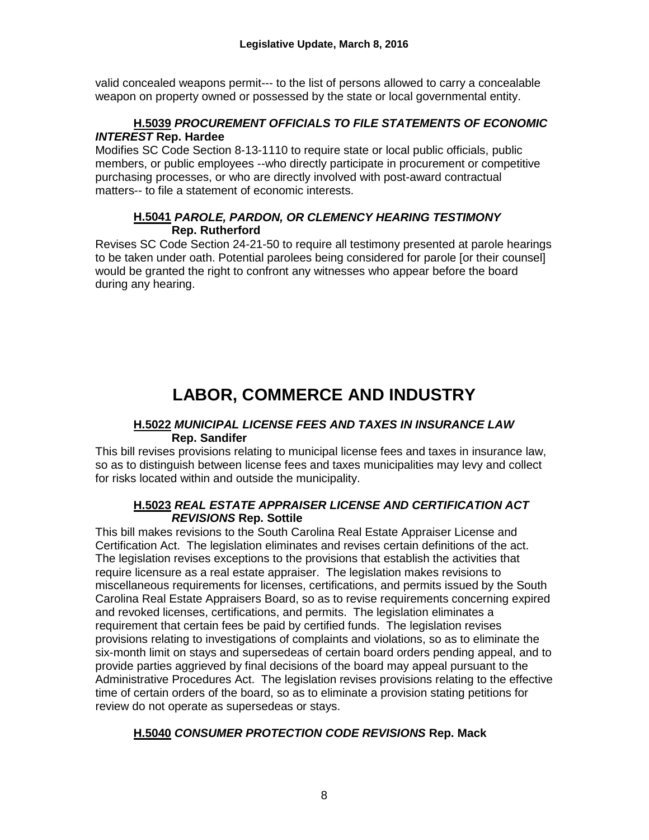valid concealed weapons permit--- to the list of persons allowed to carry a concealable weapon on property owned or possessed by the state or local governmental entity.

#### **H.5039** *PROCUREMENT OFFICIALS TO FILE STATEMENTS OF ECONOMIC INTEREST* **Rep. Hardee**

Modifies SC Code Section 8-13-1110 to require state or local public officials, public members, or public employees --who directly participate in procurement or competitive purchasing processes, or who are directly involved with post-award contractual matters-- to file a statement of economic interests.

#### **H.5041** *PAROLE, PARDON, OR CLEMENCY HEARING TESTIMONY* **Rep. Rutherford**

Revises SC Code Section 24-21-50 to require all testimony presented at parole hearings to be taken under oath. Potential parolees being considered for parole [or their counsel] would be granted the right to confront any witnesses who appear before the board during any hearing.

## **LABOR, COMMERCE AND INDUSTRY**

#### **H.5022** *MUNICIPAL LICENSE FEES AND TAXES IN INSURANCE LAW* **Rep. Sandifer**

This bill revises provisions relating to municipal license fees and taxes in insurance law, so as to distinguish between license fees and taxes municipalities may levy and collect for risks located within and outside the municipality.

#### **H.5023** *REAL ESTATE APPRAISER LICENSE AND CERTIFICATION ACT REVISIONS* **Rep. Sottile**

This bill makes revisions to the South Carolina Real Estate Appraiser License and Certification Act. The legislation eliminates and revises certain definitions of the act. The legislation revises exceptions to the provisions that establish the activities that require licensure as a real estate appraiser. The legislation makes revisions to miscellaneous requirements for licenses, certifications, and permits issued by the South Carolina Real Estate Appraisers Board, so as to revise requirements concerning expired and revoked licenses, certifications, and permits. The legislation eliminates a requirement that certain fees be paid by certified funds. The legislation revises provisions relating to investigations of complaints and violations, so as to eliminate the six-month limit on stays and supersedeas of certain board orders pending appeal, and to provide parties aggrieved by final decisions of the board may appeal pursuant to the Administrative Procedures Act. The legislation revises provisions relating to the effective time of certain orders of the board, so as to eliminate a provision stating petitions for review do not operate as supersedeas or stays.

#### **H.5040** *CONSUMER PROTECTION CODE REVISIONS* **Rep. Mack**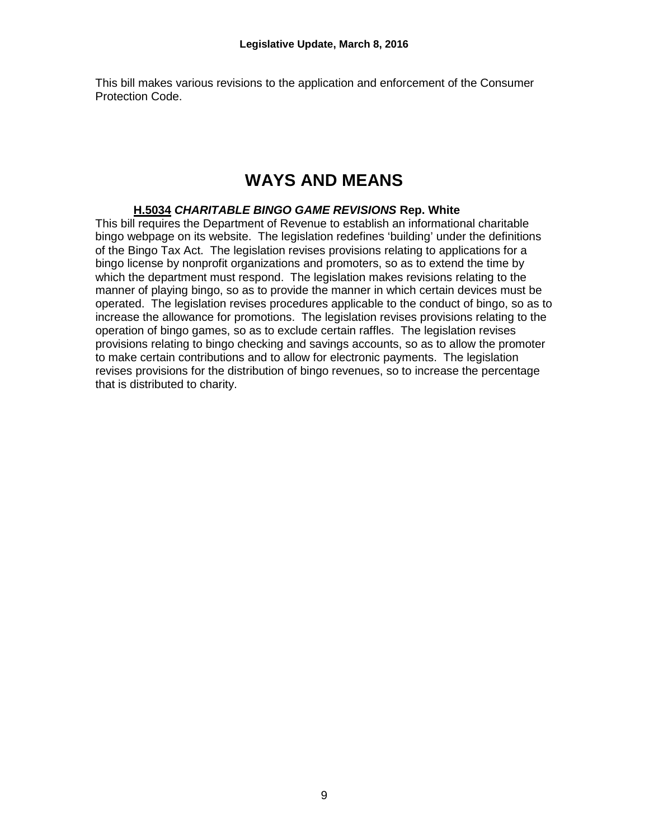This bill makes various revisions to the application and enforcement of the Consumer Protection Code.

### **WAYS AND MEANS**

#### **H.5034** *CHARITABLE BINGO GAME REVISIONS* **Rep. White**

This bill requires the Department of Revenue to establish an informational charitable bingo webpage on its website. The legislation redefines 'building' under the definitions of the Bingo Tax Act. The legislation revises provisions relating to applications for a bingo license by nonprofit organizations and promoters, so as to extend the time by which the department must respond. The legislation makes revisions relating to the manner of playing bingo, so as to provide the manner in which certain devices must be operated. The legislation revises procedures applicable to the conduct of bingo, so as to increase the allowance for promotions. The legislation revises provisions relating to the operation of bingo games, so as to exclude certain raffles. The legislation revises provisions relating to bingo checking and savings accounts, so as to allow the promoter to make certain contributions and to allow for electronic payments. The legislation revises provisions for the distribution of bingo revenues, so to increase the percentage that is distributed to charity.